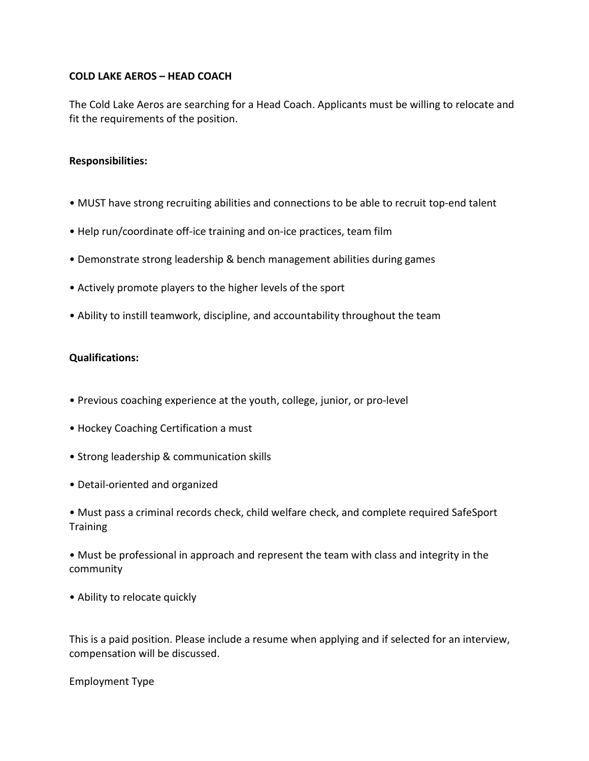## **COLD LAKE AEROS – HEAD COACH**

The Cold Lake Aeros are searching for a Head Coach. Applicants must be willing to relocate and fit the requirements of the position.

## **Responsibilities:**

- MUST have strong recruiting abilities and connections to be able to recruit top-end talent
- Help run/coordinate off-ice training and on-ice practices, team film
- Demonstrate strong leadership & bench management abilities during games
- Actively promote players to the higher levels of the sport
- Ability to instill teamwork, discipline, and accountability throughout the team

## **Qualifications:**

- Previous coaching experience at the youth, college, junior, or pro-level
- Hockey Coaching Certification a must
- Strong leadership & communication skills
- Detail-oriented and organized
- Must pass a criminal records check, child welfare check, and complete required SafeSport **Training**
- Must be professional in approach and represent the team with class and integrity in the community
- Ability to relocate quickly

This is a paid position. Please include a resume when applying and if selected for an interview, compensation will be discussed.

Employment Type